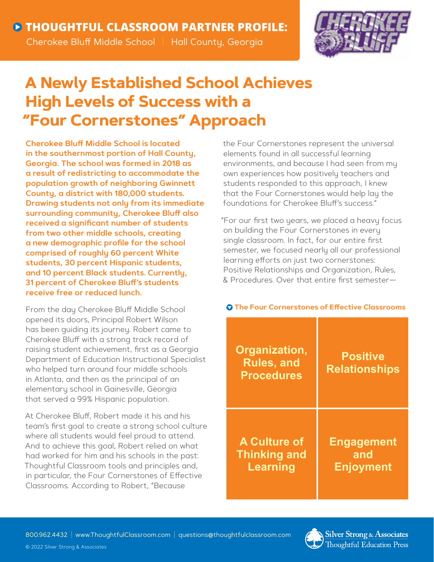

## **A Newly Established School Achieves High Levels of Success with a "Four Cornerstones" Approach**

**Cherokee Bluff Middle School is located in the southernmost portion of Hall County, Georgia. The school was formed in 2018 as a result of redistricting to accommodate the population growth of neighboring Gwinnett County, a district with 180,000 students. Drawing students not only from its immediate surrounding community, Cherokee Bluff also received a significant number of students from two other middle schools, creating a new demographic profile for the school comprised of roughly 60 percent White students, 30 percent Hispanic students, and 10 percent Black students. Currently, 31 percent of Cherokee Bluff's students receive free or reduced lunch.**

From the day Cherokee Bluff Middle School opened its doors, Principal Robert Wilson has been guiding its journey. Robert came to Cherokee Bluff with a strong track record of raising student achievement, first as a Georgia Department of Education Instructional Specialist who helped turn around four middle schools in Atlanta, and then as the principal of an elementary school in Gainesville, Georgia that served a 99% Hispanic population.

At Cherokee Bluff, Robert made it his and his team's first goal to create a strong school culture where all students would feel proud to attend. And to achieve this goal, Robert relied on what had worked for him and his schools in the past: Thoughtful Classroom tools and principles and, in particular, the Four Cornerstones of Effective Classrooms. According to Robert, "Because

the Four Cornerstones represent the universal elements found in all successful learning environments, and because I had seen from my own experiences how positively teachers and students responded to this approach, I knew that the Four Cornerstones would help lay the foundations for Cherokee Bluff's success."

"For our first two years, we placed a heavy focus on building the Four Cornerstones in every single classroom. In fact, for our entire first semester, we focused nearly all our professional learning efforts on just two cornerstones: Positive Relationships and Organization, Rules, & Procedures. Over that entire first semester—

## **The Four Cornerstones of Effective Classrooms**

| Organization,<br><b>Rules, and</b><br><b>Procedures</b> | <b>Positive</b><br><b>Relationships</b> |
|---------------------------------------------------------|-----------------------------------------|
| <b>A Culture of</b>                                     | <b>Engagement</b>                       |
| <b>Thinking and</b>                                     | and                                     |
| <b>Learning</b>                                         | <b>Enjoyment</b>                        |